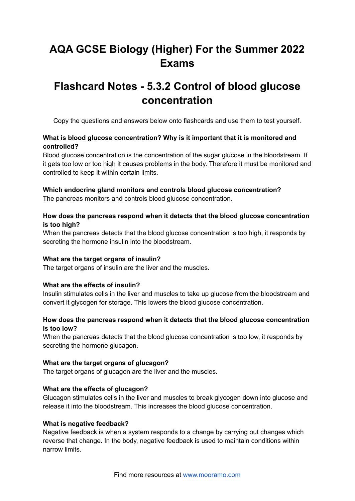# **AQA GCSE Biology (Higher) For the Summer 2022 Exams**

## **Flashcard Notes - 5.3.2 Control of blood glucose concentration**

Copy the questions and answers below onto flashcards and use them to test yourself.

## **What is blood glucose concentration? Why is it important that it is monitored and controlled?**

Blood glucose concentration is the concentration of the sugar glucose in the bloodstream. If it gets too low or too high it causes problems in the body. Therefore it must be monitored and controlled to keep it within certain limits.

## **Which endocrine gland monitors and controls blood glucose concentration?**

The pancreas monitors and controls blood glucose concentration.

## **How does the pancreas respond when it detects that the blood glucose concentration is too high?**

When the pancreas detects that the blood glucose concentration is too high, it responds by secreting the hormone insulin into the bloodstream.

#### **What are the target organs of insulin?**

The target organs of insulin are the liver and the muscles.

#### **What are the effects of insulin?**

Insulin stimulates cells in the liver and muscles to take up glucose from the bloodstream and convert it glycogen for storage. This lowers the blood glucose concentration.

## **How does the pancreas respond when it detects that the blood glucose concentration is too low?**

When the pancreas detects that the blood glucose concentration is too low, it responds by secreting the hormone glucagon.

#### **What are the target organs of glucagon?**

The target organs of glucagon are the liver and the muscles.

#### **What are the effects of glucagon?**

Glucagon stimulates cells in the liver and muscles to break glycogen down into glucose and release it into the bloodstream. This increases the blood glucose concentration.

#### **What is negative feedback?**

Negative feedback is when a system responds to a change by carrying out changes which reverse that change. In the body, negative feedback is used to maintain conditions within narrow limits.